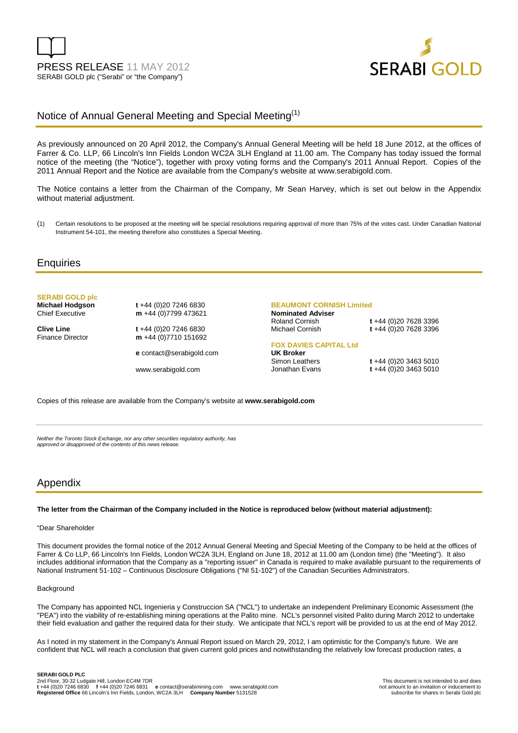



# Notice of Annual General Meeting and Special Meeting<sup>(1)</sup>

As previously announced on 20 April 2012, the Company's Annual General Meeting will be held 18 June 2012, at the offices of Farrer & Co. LLP, 66 Lincoln's Inn Fields London WC2A 3LH England at 11.00 am. The Company has today issued the formal notice of the meeting (the "Notice"), together with proxy voting forms and the Company's 2011 Annual Report. Copies of the 2011 Annual Report and the Notice are available from the Company's website at www.serabigold.com.

The Notice contains a letter from the Chairman of the Company, Mr Sean Harvey, which is set out below in the Appendix without material adjustment.

(1) Certain resolutions to be proposed at the meeting will be special resolutions requiring approval of more than 75% of the votes cast. Under Canadian National Instrument 54-101, the meeting therefore also constitutes a Special Meeting.

## **Enquiries**

**SERABI GOLD plc** 

**Clive Line** t +44 (0)20 7246 6830<br>Finance Director **m** +44 (0)7710 151692

**Michael Hodgson t** +44 (0)20 7246 6830<br>Chief Executive **m** +44 (0)7799 473621 m +44 (0)7799 473621

m +44 (0)7710 151692

**e** contact@serabigold.com

www.serabigold.com

#### **BEAUMONT CORNISH Limited**

**Nominated Adviser** 

Roland Cornish **t** +44 (0)20 7628 3396 Michael Cornish **t** +44 (0)20 7628 3396

#### **FOX DAVIES CAPITAL Ltd**

**UK Broker** 

Simon Leathers **t** +44 (0)20 3463 5010<br>Jonathan Evans **t** +44 (0)20 3463 5010 t +44 (0)20 3463 5010

Copies of this release are available from the Company's website at **www.serabigold.com** 

Neither the Toronto Stock Exchange, nor any other securities regulatory authority, has approved or disapproved of the contents of this news release.

## Appendix

#### **The letter from the Chairman of the Company included in the Notice is reproduced below (without material adjustment):**

#### "Dear Shareholder

This document provides the formal notice of the 2012 Annual General Meeting and Special Meeting of the Company to be held at the offices of Farrer & Co LLP, 66 Lincoln's Inn Fields, London WC2A 3LH, England on June 18, 2012 at 11.00 am (London time) (the "Meeting"). It also includes additional information that the Company as a "reporting issuer" in Canada is required to make available pursuant to the requirements of National Instrument 51-102 – Continuous Disclosure Obligations ("NI 51-102") of the Canadian Securities Administrators.

### **Background**

The Company has appointed NCL Ingenieria y Construccion SA ("NCL") to undertake an independent Preliminary Economic Assessment (the "PEA") into the viability of re-establishing mining operations at the Palito mine. NCL's personnel visited Palito during March 2012 to undertake their field evaluation and gather the required data for their study. We anticipate that NCL's report will be provided to us at the end of May 2012.

As I noted in my statement in the Company's Annual Report issued on March 29, 2012, I am optimistic for the Company's future. We are confident that NCL will reach a conclusion that given current gold prices and notwithstanding the relatively low forecast production rates, a